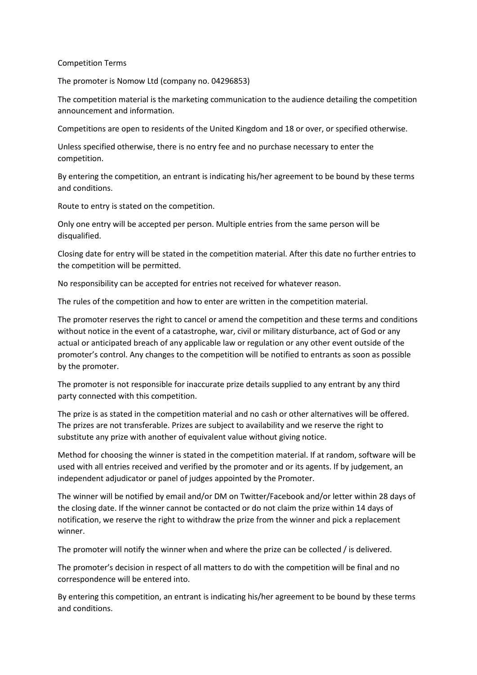## Competition Terms

The promoter is Nomow Ltd (company no. 04296853)

The competition material is the marketing communication to the audience detailing the competition announcement and information.

Competitions are open to residents of the United Kingdom and 18 or over, or specified otherwise.

Unless specified otherwise, there is no entry fee and no purchase necessary to enter the competition.

By entering the competition, an entrant is indicating his/her agreement to be bound by these terms and conditions.

Route to entry is stated on the competition.

Only one entry will be accepted per person. Multiple entries from the same person will be disqualified.

Closing date for entry will be stated in the competition material. After this date no further entries to the competition will be permitted.

No responsibility can be accepted for entries not received for whatever reason.

The rules of the competition and how to enter are written in the competition material.

The promoter reserves the right to cancel or amend the competition and these terms and conditions without notice in the event of a catastrophe, war, civil or military disturbance, act of God or any actual or anticipated breach of any applicable law or regulation or any other event outside of the promoter's control. Any changes to the competition will be notified to entrants as soon as possible by the promoter.

The promoter is not responsible for inaccurate prize details supplied to any entrant by any third party connected with this competition.

The prize is as stated in the competition material and no cash or other alternatives will be offered. The prizes are not transferable. Prizes are subject to availability and we reserve the right to substitute any prize with another of equivalent value without giving notice.

Method for choosing the winner is stated in the competition material. If at random, software will be used with all entries received and verified by the promoter and or its agents. If by judgement, an independent adjudicator or panel of judges appointed by the Promoter.

The winner will be notified by email and/or DM on Twitter/Facebook and/or letter within 28 days of the closing date. If the winner cannot be contacted or do not claim the prize within 14 days of notification, we reserve the right to withdraw the prize from the winner and pick a replacement winner.

The promoter will notify the winner when and where the prize can be collected / is delivered.

The promoter's decision in respect of all matters to do with the competition will be final and no correspondence will be entered into.

By entering this competition, an entrant is indicating his/her agreement to be bound by these terms and conditions.